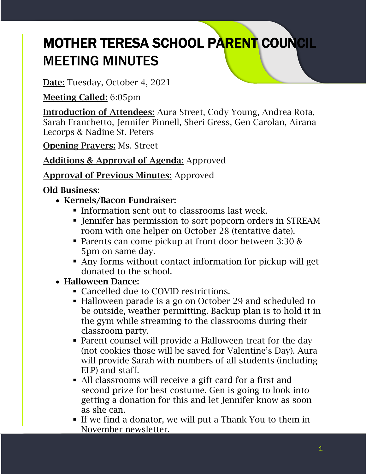# MOTHER TERESA SCHOOL PARENT COUNCIL MEETING MINUTES

Date: Tuesday, October 4, 2021

Meeting Called: 6:05pm

Introduction of Attendees: Aura Street, Cody Young, Andrea Rota, Sarah Franchetto, Jennifer Pinnell, Sheri Gress, Gen Carolan, Airana Lecorps & Nadine St. Peters

Opening Prayers: Ms. Street

# Additions & Approval of Agenda: Approved

## Approval of Previous Minutes: Approved

## Old Business:

- Kernels/Bacon Fundraiser:
	- **Information sent out to classrooms last week.**
	- Jennifer has permission to sort popcorn orders in STREAM room with one helper on October 28 (tentative date).
	- Parents can come pickup at front door between 3:30 & 5pm on same day.
	- Any forms without contact information for pickup will get donated to the school.
- Halloween Dance:
	- Cancelled due to COVID restrictions.
	- Halloween parade is a go on October 29 and scheduled to be outside, weather permitting. Backup plan is to hold it in the gym while streaming to the classrooms during their classroom party.
	- Parent counsel will provide a Halloween treat for the day (not cookies those will be saved for Valentine's Day). Aura will provide Sarah with numbers of all students (including ELP) and staff.
	- All classrooms will receive a gift card for a first and second prize for best costume. Gen is going to look into getting a donation for this and let Jennifer know as soon as she can.
	- If we find a donator, we will put a Thank You to them in November newsletter.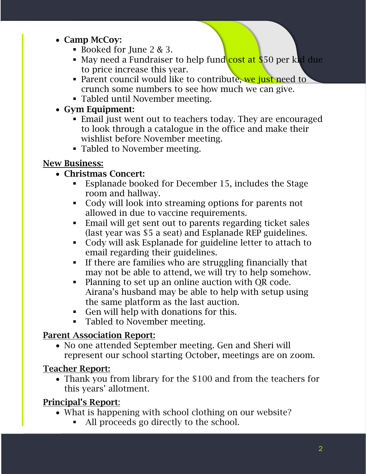#### • Camp McCoy:

- $\blacksquare$  Booked for June 2 & 3.
- May need a Fundraiser to help fund cost at \$50 per kid due to price increase this year.
- Parent council would like to contribute, we just need to crunch some numbers to see how much we can give.
- Tabled until November meeting.

## • Gym Equipment:

- Email just went out to teachers today. They are encouraged to look through a catalogue in the office and make their wishlist before November meeting.
- Tabled to November meeting.

# New Business:

# • Christmas Concert:

- Esplanade booked for December 15, includes the Stage room and hallway.
- Cody will look into streaming options for parents not allowed in due to vaccine requirements.
- Email will get sent out to parents regarding ticket sales (last year was \$5 a seat) and Esplanade REP guidelines.
- Cody will ask Esplanade for guideline letter to attach to email regarding their guidelines.
- **•** If there are families who are struggling financially that may not be able to attend, we will try to help somehow.
- Planning to set up an online auction with QR code. Airana's husband may be able to help with setup using the same platform as the last auction.
- Gen will help with donations for this.
- Tabled to November meeting.

# Parent Association Report:

• No one attended September meeting. Gen and Sheri will represent our school starting October, meetings are on zoom.

## Teacher Report:

• Thank you from library for the \$100 and from the teachers for this years' allotment.

# Principal's Report:

- What is happening with school clothing on our website?
	- All proceeds go directly to the school.